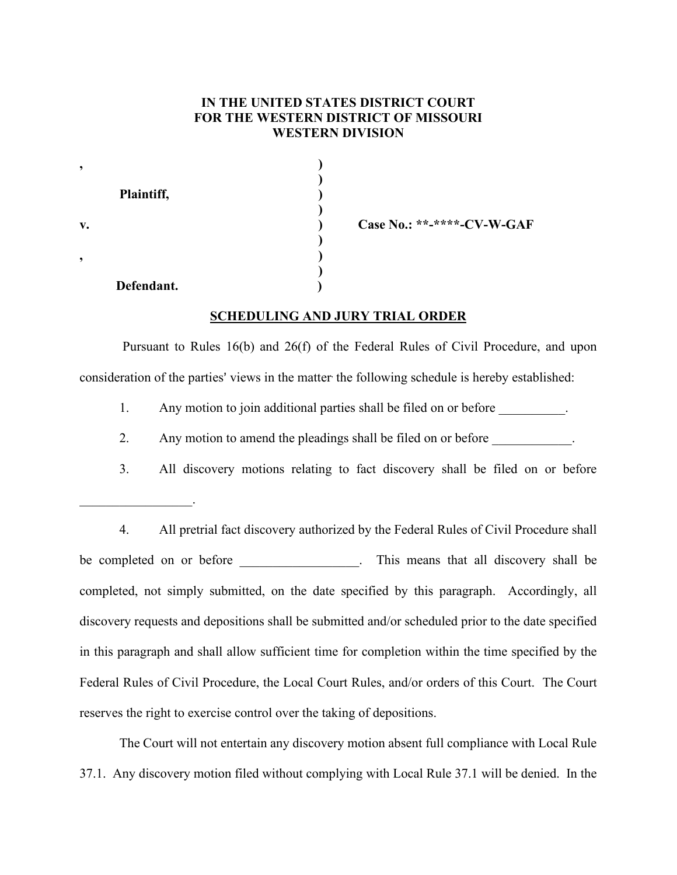## **IN THE UNITED STATES DISTRICT COURT FOR THE WESTERN DISTRICT OF MISSOURI WESTERN DIVISION**

| ,              |            |  |
|----------------|------------|--|
|                | Plaintiff, |  |
| $\mathbf{v}$ . |            |  |
|                |            |  |
|                | Defendant. |  |

 $\mathcal{L}_\text{max}$  and  $\mathcal{L}_\text{max}$ 

**v. ) Case No.: \*\*-\*\*\*\*-CV-W-GAF**

## **SCHEDULING AND JURY TRIAL ORDER**

Pursuant to Rules 16(b) and 26(f) of the Federal Rules of Civil Procedure, and upon consideration of the parties' views in the matter the following schedule is hereby established:

1. Any motion to join additional parties shall be filed on or before  $\blacksquare$ .

- 2. Any motion to amend the pleadings shall be filed on or before
- 3. All discovery motions relating to fact discovery shall be filed on or before

4. All pretrial fact discovery authorized by the Federal Rules of Civil Procedure shall be completed on or before This means that all discovery shall be completed, not simply submitted, on the date specified by this paragraph. Accordingly, all discovery requests and depositions shall be submitted and/or scheduled prior to the date specified in this paragraph and shall allow sufficient time for completion within the time specified by the Federal Rules of Civil Procedure, the Local Court Rules, and/or orders of this Court. The Court reserves the right to exercise control over the taking of depositions.

The Court will not entertain any discovery motion absent full compliance with Local Rule 37.1. Any discovery motion filed without complying with Local Rule 37.1 will be denied. In the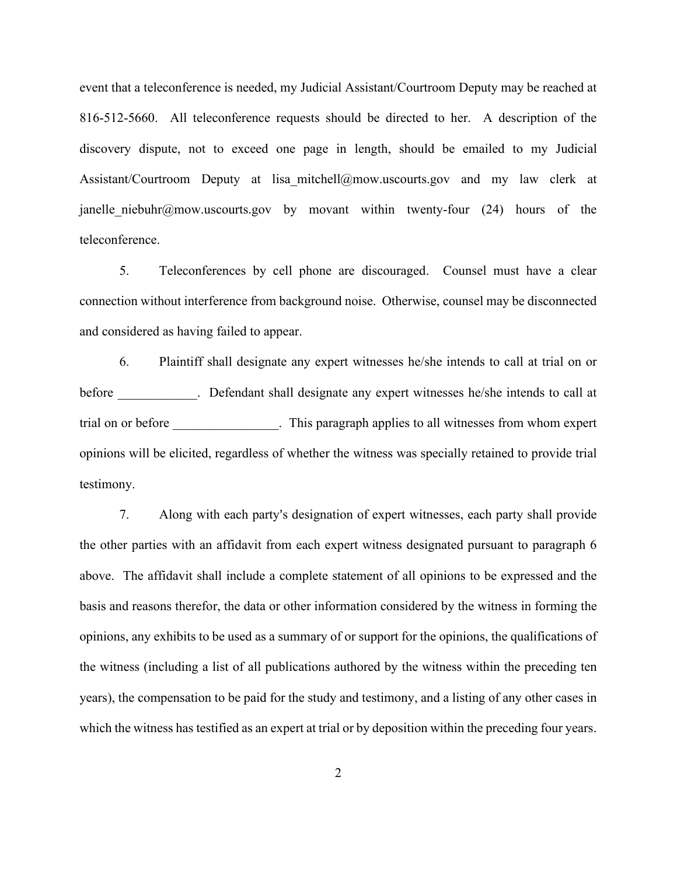event that a teleconference is needed, my Judicial Assistant/Courtroom Deputy may be reached at 816-512-5660. All teleconference requests should be directed to her. A description of the discovery dispute, not to exceed one page in length, should be emailed to my Judicial Assistant/Courtroom Deputy at lisa mitchell@mow.uscourts.gov and my law clerk at janelle niebuhr@mow.uscourts.gov by movant within twenty-four (24) hours of the teleconference.

5. Teleconferences by cell phone are discouraged. Counsel must have a clear connection without interference from background noise. Otherwise, counsel may be disconnected and considered as having failed to appear.

6. Plaintiff shall designate any expert witnesses he/she intends to call at trial on or before expert witnesses he/she intends to call at before trial on or before \_\_\_\_\_\_\_\_\_\_\_\_\_\_\_\_. This paragraph applies to all witnesses from whom expert opinions will be elicited, regardless of whether the witness was specially retained to provide trial testimony.

7. Along with each party's designation of expert witnesses, each party shall provide the other parties with an affidavit from each expert witness designated pursuant to paragraph 6 above. The affidavit shall include a complete statement of all opinions to be expressed and the basis and reasons therefor, the data or other information considered by the witness in forming the opinions, any exhibits to be used as a summary of or support for the opinions, the qualifications of the witness (including a list of all publications authored by the witness within the preceding ten years), the compensation to be paid for the study and testimony, and a listing of any other cases in which the witness has testified as an expert at trial or by deposition within the preceding four years.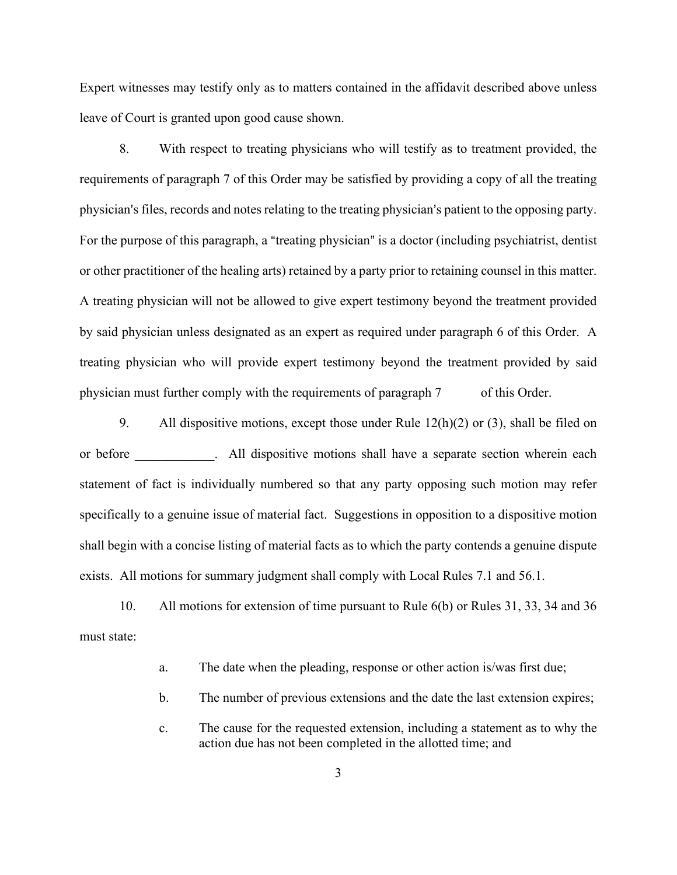Expert witnesses may testify only as to matters contained in the affidavit described above unless leave of Court is granted upon good cause shown.

8. With respect to treating physicians who will testify as to treatment provided, the requirements of paragraph 7 of this Order may be satisfied by providing a copy of all the treating physician's files, records and notes relating to the treating physician's patient to the opposing party. For the purpose of this paragraph, a "treating physician" is a doctor (including psychiatrist, dentist or other practitioner of the healing arts) retained by a party prior to retaining counsel in this matter. A treating physician will not be allowed to give expert testimony beyond the treatment provided by said physician unless designated as an expert as required under paragraph 6 of this Order. A treating physician who will provide expert testimony beyond the treatment provided by said physician must further comply with the requirements of paragraph 7 of this Order.

9. All dispositive motions, except those under Rule  $12(h)(2)$  or (3), shall be filed on or before **All dispositive motions shall have a separate section wherein each** statement of fact is individually numbered so that any party opposing such motion may refer specifically to a genuine issue of material fact. Suggestions in opposition to a dispositive motion shall begin with a concise listing of material facts as to which the party contends a genuine dispute exists. All motions for summary judgment shall comply with Local Rules 7.1 and 56.1.

10. All motions for extension of time pursuant to Rule 6(b) or Rules 31, 33, 34 and 36 must state:

- a. The date when the pleading, response or other action is/was first due;
- b. The number of previous extensions and the date the last extension expires;
- c. The cause for the requested extension, including a statement as to why the action due has not been completed in the allotted time; and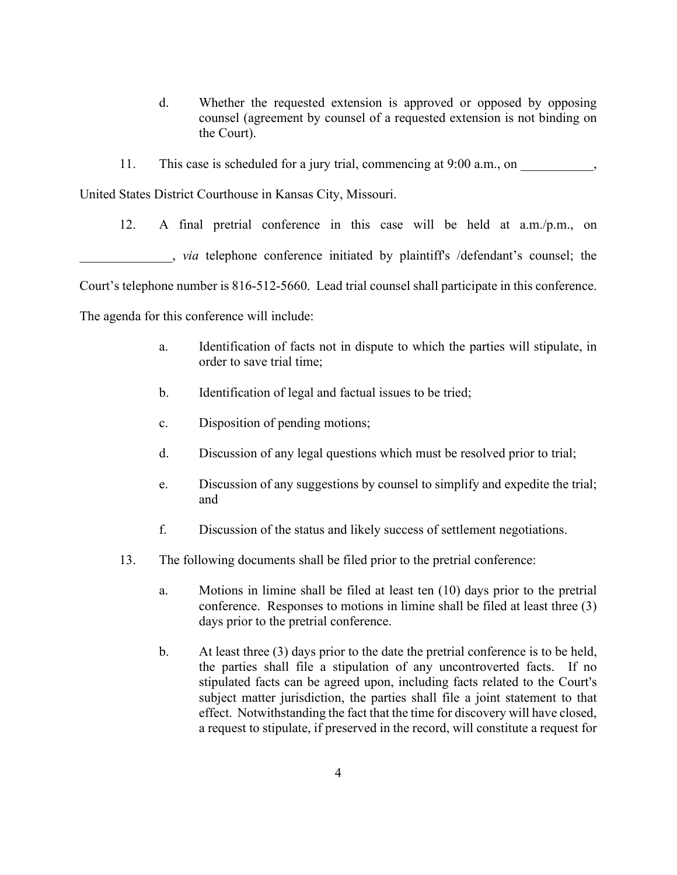- d. Whether the requested extension is approved or opposed by opposing counsel (agreement by counsel of a requested extension is not binding on the Court).
- 11. This case is scheduled for a jury trial, commencing at 9:00 a.m., on

United States District Courthouse in Kansas City, Missouri.

12. A final pretrial conference in this case will be held at a.m./p.m., on \_\_\_\_\_\_\_\_\_\_\_\_\_\_, *via* telephone conference initiated by plaintiff's /defendant's counsel; the Court's telephone number is 816-512-5660. Lead trial counsel shall participate in this conference. The agenda for this conference will include:

- a. Identification of facts not in dispute to which the parties will stipulate, in order to save trial time;
- b. Identification of legal and factual issues to be tried;
- c. Disposition of pending motions;
- d. Discussion of any legal questions which must be resolved prior to trial;
- e. Discussion of any suggestions by counsel to simplify and expedite the trial; and
- f. Discussion of the status and likely success of settlement negotiations.
- 13. The following documents shall be filed prior to the pretrial conference:
	- a. Motions in limine shall be filed at least ten (10) days prior to the pretrial conference. Responses to motions in limine shall be filed at least three (3) days prior to the pretrial conference.
	- b. At least three (3) days prior to the date the pretrial conference is to be held, the parties shall file a stipulation of any uncontroverted facts. If no stipulated facts can be agreed upon, including facts related to the Court's subject matter jurisdiction, the parties shall file a joint statement to that effect. Notwithstanding the fact that the time for discovery will have closed, a request to stipulate, if preserved in the record, will constitute a request for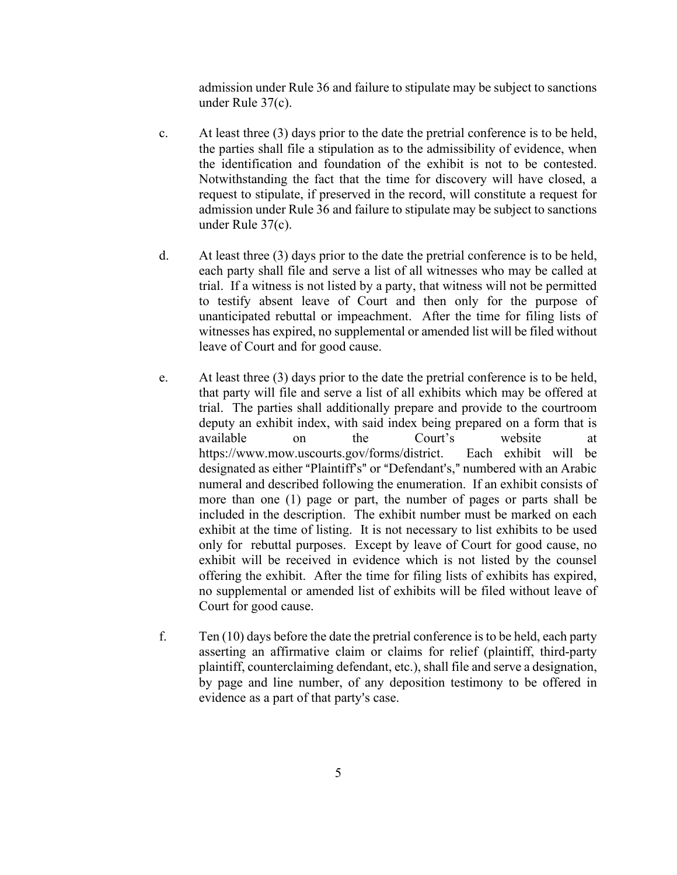admission under Rule 36 and failure to stipulate may be subject to sanctions under Rule 37(c).

- c. At least three (3) days prior to the date the pretrial conference is to be held, the parties shall file a stipulation as to the admissibility of evidence, when the identification and foundation of the exhibit is not to be contested. Notwithstanding the fact that the time for discovery will have closed, a request to stipulate, if preserved in the record, will constitute a request for admission under Rule 36 and failure to stipulate may be subject to sanctions under Rule 37(c).
- d. At least three (3) days prior to the date the pretrial conference is to be held, each party shall file and serve a list of all witnesses who may be called at trial. If a witness is not listed by a party, that witness will not be permitted to testify absent leave of Court and then only for the purpose of unanticipated rebuttal or impeachment. After the time for filing lists of witnesses has expired, no supplemental or amended list will be filed without leave of Court and for good cause.
- e. At least three (3) days prior to the date the pretrial conference is to be held, that party will file and serve a list of all exhibits which may be offered at trial. The parties shall additionally prepare and provide to the courtroom deputy an exhibit index, with said index being prepared on a form that is available on the Court's website at https://www.mow.uscourts.gov/forms/district. Each exhibit will be designated as either "Plaintiff's" or "Defendant's," numbered with an Arabic numeral and described following the enumeration. If an exhibit consists of more than one (1) page or part, the number of pages or parts shall be included in the description. The exhibit number must be marked on each exhibit at the time of listing. It is not necessary to list exhibits to be used only for rebuttal purposes. Except by leave of Court for good cause, no exhibit will be received in evidence which is not listed by the counsel offering the exhibit. After the time for filing lists of exhibits has expired, no supplemental or amended list of exhibits will be filed without leave of Court for good cause.
- f. Ten (10) days before the date the pretrial conference is to be held, each party asserting an affirmative claim or claims for relief (plaintiff, third-party plaintiff, counterclaiming defendant, etc.), shall file and serve a designation, by page and line number, of any deposition testimony to be offered in evidence as a part of that party's case.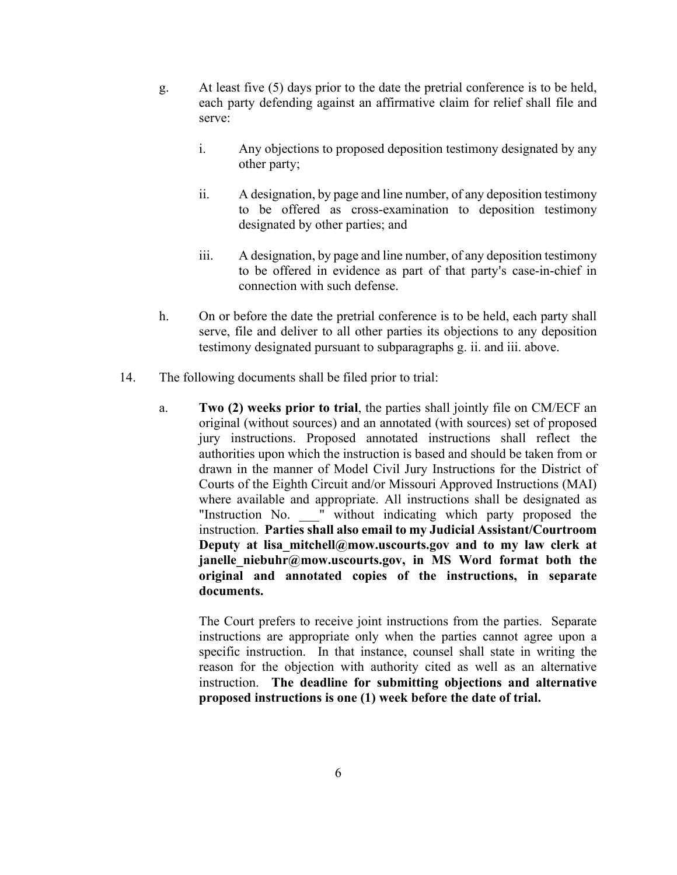- g. At least five (5) days prior to the date the pretrial conference is to be held, each party defending against an affirmative claim for relief shall file and serve:
	- i. Any objections to proposed deposition testimony designated by any other party;
	- ii. A designation, by page and line number, of any deposition testimony to be offered as cross-examination to deposition testimony designated by other parties; and
	- iii. A designation, by page and line number, of any deposition testimony to be offered in evidence as part of that party's case-in-chief in connection with such defense.
- h. On or before the date the pretrial conference is to be held, each party shall serve, file and deliver to all other parties its objections to any deposition testimony designated pursuant to subparagraphs g. ii. and iii. above.
- 14. The following documents shall be filed prior to trial:
	- a. **Two (2) weeks prior to trial**, the parties shall jointly file on CM/ECF an original (without sources) and an annotated (with sources) set of proposed jury instructions. Proposed annotated instructions shall reflect the authorities upon which the instruction is based and should be taken from or drawn in the manner of Model Civil Jury Instructions for the District of Courts of the Eighth Circuit and/or Missouri Approved Instructions (MAI) where available and appropriate. All instructions shall be designated as "Instruction No. " without indicating which party proposed the instruction. **Parties shall also email to my Judicial Assistant/Courtroom Deputy at lisa\_mitchell@mow.uscourts.gov and to my law clerk at janelle\_niebuhr@mow.uscourts.gov, in MS Word format both the original and annotated copies of the instructions, in separate documents.**

The Court prefers to receive joint instructions from the parties. Separate instructions are appropriate only when the parties cannot agree upon a specific instruction. In that instance, counsel shall state in writing the reason for the objection with authority cited as well as an alternative instruction. **The deadline for submitting objections and alternative proposed instructions is one (1) week before the date of trial.**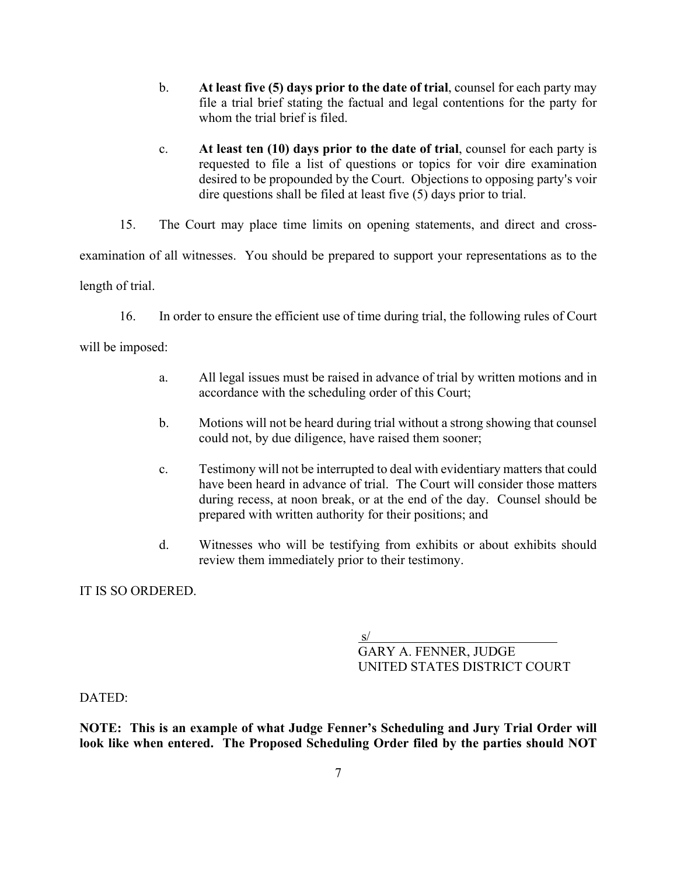- b. **At least five (5) days prior to the date of trial**, counsel for each party may file a trial brief stating the factual and legal contentions for the party for whom the trial brief is filed.
- c. **At least ten (10) days prior to the date of trial**, counsel for each party is requested to file a list of questions or topics for voir dire examination desired to be propounded by the Court. Objections to opposing party's voir dire questions shall be filed at least five (5) days prior to trial.

15. The Court may place time limits on opening statements, and direct and crossexamination of all witnesses. You should be prepared to support your representations as to the length of trial.

16. In order to ensure the efficient use of time during trial, the following rules of Court

will be imposed:

- a. All legal issues must be raised in advance of trial by written motions and in accordance with the scheduling order of this Court;
- b. Motions will not be heard during trial without a strong showing that counsel could not, by due diligence, have raised them sooner;
- c. Testimony will not be interrupted to deal with evidentiary matters that could have been heard in advance of trial. The Court will consider those matters during recess, at noon break, or at the end of the day. Counsel should be prepared with written authority for their positions; and
- d. Witnesses who will be testifying from exhibits or about exhibits should review them immediately prior to their testimony.

IT IS SO ORDERED.

s/ GARY A. FENNER, JUDGE UNITED STATES DISTRICT COURT

DATED:

**NOTE: This is an example of what Judge Fenner's Scheduling and Jury Trial Order will look like when entered. The Proposed Scheduling Order filed by the parties should NOT**